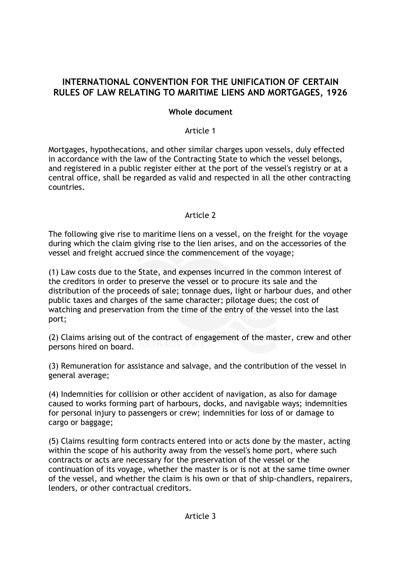# **INTERNATIONAL CONVENTION FOR THE UNIFICATION OF CERTAIN RULES OF LAW RELATING TO MARITIME LIENS AND MORTGAGES, 1926**

# **Whole document**

## Article 1

Mortgages, hypothecations, and other similar charges upon vessels, duly effected in accordance with the law of the Contracting State to which the vessel belongs, and registered in a public register either at the port of the vessel's registry or at a central office, shall be regarded as valid and respected in all the other contracting countries.

# Article 2

The following give rise to maritime liens on a vessel, on the freight for the voyage during which the claim giving rise to the lien arises, and on the accessories of the vessel and freight accrued since the commencement of the voyage;

(1) Law costs due to the State, and expenses incurred in the common interest of the creditors in order to preserve the vessel or to procure its sale and the distribution of the proceeds of sale; tonnage dues, light or harbour dues, and other public taxes and charges of the same character; pilotage dues; the cost of watching and preservation from the time of the entry of the vessel into the last port;

(2) Claims arising out of the contract of engagement of the master, crew and other persons hired on board.

(3) Remuneration for assistance and salvage, and the contribution of the vessel in general average;

(4) Indemnities for collision or other accident of navigation, as also for damage caused to works forming part of harbours, docks, and navigable ways; indemnities for personal injury to passengers or crew; indemnities for loss of or damage to cargo or baggage;

(5) Claims resulting form contracts entered into or acts done by the master, acting within the scope of his authority away from the vessel's home port, where such contracts or acts are necessary for the preservation of the vessel or the continuation of its voyage, whether the master is or is not at the same time owner of the vessel, and whether the claim is his own or that of ship-chandlers, repairers, lenders, or other contractual creditors.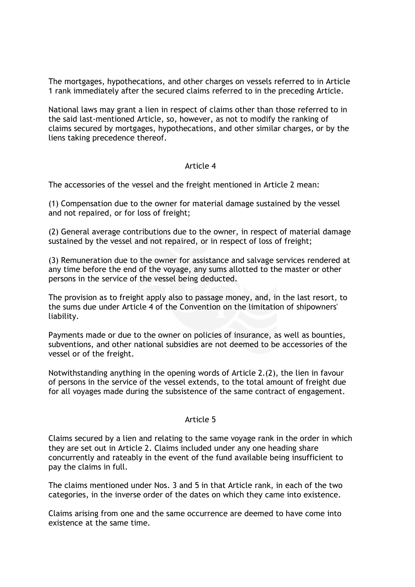The mortgages, hypothecations, and other charges on vessels referred to in Article 1 rank immediately after the secured claims referred to in the preceding Article.

National laws may grant a lien in respect of claims other than those referred to in the said last-mentioned Article, so, however, as not to modify the ranking of claims secured by mortgages, hypothecations, and other similar charges, or by the liens taking precedence thereof.

#### Article 4

The accessories of the vessel and the freight mentioned in Article 2 mean:

(1) Compensation due to the owner for material damage sustained by the vessel and not repaired, or for loss of freight;

(2) General average contributions due to the owner, in respect of material damage sustained by the vessel and not repaired, or in respect of loss of freight;

(3) Remuneration due to the owner for assistance and salvage services rendered at any time before the end of the voyage, any sums allotted to the master or other persons in the service of the vessel being deducted.

The provision as to freight apply also to passage money, and, in the last resort, to the sums due under Article 4 of the Convention on the limitation of shipowners' liability.

Payments made or due to the owner on policies of insurance, as well as bounties, subventions, and other national subsidies are not deemed to be accessories of the vessel or of the freight.

Notwithstanding anything in the opening words of Article 2.(2), the lien in favour of persons in the service of the vessel extends, to the total amount of freight due for all voyages made during the subsistence of the same contract of engagement.

## Article 5

Claims secured by a lien and relating to the same voyage rank in the order in which they are set out in Article 2. Claims included under any one heading share concurrently and rateably in the event of the fund available being insufficient to pay the claims in full.

The claims mentioned under Nos. 3 and 5 in that Article rank, in each of the two categories, in the inverse order of the dates on which they came into existence.

Claims arising from one and the same occurrence are deemed to have come into existence at the same time.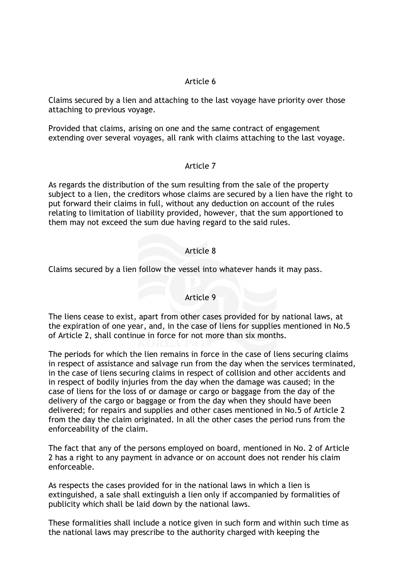### Article 6

Claims secured by a lien and attaching to the last voyage have priority over those attaching to previous voyage.

Provided that claims, arising on one and the same contract of engagement extending over several voyages, all rank with claims attaching to the last voyage.

#### Article 7

As regards the distribution of the sum resulting from the sale of the property subject to a lien, the creditors whose claims are secured by a lien have the right to put forward their claims in full, without any deduction on account of the rules relating to limitation of liability provided, however, that the sum apportioned to them may not exceed the sum due having regard to the said rules.

### Article 8

Claims secured by a lien follow the vessel into whatever hands it may pass.

#### Article 9

The liens cease to exist, apart from other cases provided for by national laws, at the expiration of one year, and, in the case of liens for supplies mentioned in No.5 of Article 2, shall continue in force for not more than six months.

The periods for which the lien remains in force in the case of liens securing claims in respect of assistance and salvage run from the day when the services terminated, in the case of liens securing claims in respect of collision and other accidents and in respect of bodily injuries from the day when the damage was caused; in the case of liens for the loss of or damage or cargo or baggage from the day of the delivery of the cargo or baggage or from the day when they should have been delivered; for repairs and supplies and other cases mentioned in No.5 of Article 2 from the day the claim originated. In all the other cases the period runs from the enforceability of the claim.

The fact that any of the persons employed on board, mentioned in No. 2 of Article 2 has a right to any payment in advance or on account does not render his claim enforceable.

As respects the cases provided for in the national laws in which a lien is extinguished, a sale shall extinguish a lien only if accompanied by formalities of publicity which shall be laid down by the national laws.

These formalities shall include a notice given in such form and within such time as the national laws may prescribe to the authority charged with keeping the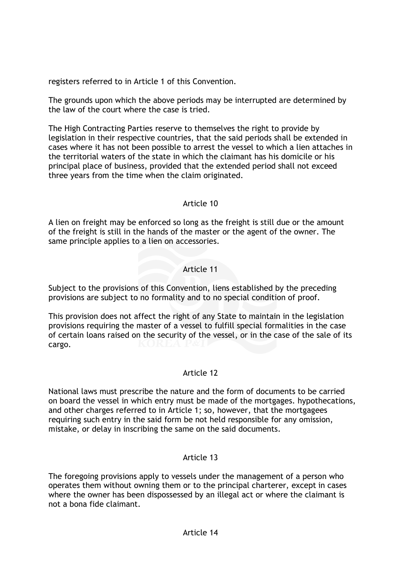registers referred to in Article 1 of this Convention.

The grounds upon which the above periods may be interrupted are determined by the law of the court where the case is tried.

The High Contracting Parties reserve to themselves the right to provide by legislation in their respective countries, that the said periods shall be extended in cases where it has not been possible to arrest the vessel to which a lien attaches in the territorial waters of the state in which the claimant has his domicile or his principal place of business, provided that the extended period shall not exceed three years from the time when the claim originated.

# Article 10

A lien on freight may be enforced so long as the freight is still due or the amount of the freight is still in the hands of the master or the agent of the owner. The same principle applies to a lien on accessories.

# Article 11

Subject to the provisions of this Convention, liens established by the preceding provisions are subject to no formality and to no special condition of proof.

This provision does not affect the right of any State to maintain in the legislation provisions requiring the master of a vessel to fulfill special formalities in the case of certain loans raised on the security of the vessel, or in the case of the sale of its cargo.

## Article 12

National laws must prescribe the nature and the form of documents to be carried on board the vessel in which entry must be made of the mortgages. hypothecations, and other charges referred to in Article 1; so, however, that the mortgagees requiring such entry in the said form be not held responsible for any omission, mistake, or delay in inscribing the same on the said documents.

# Article 13

The foregoing provisions apply to vessels under the management of a person who operates them without owning them or to the principal charterer, except in cases where the owner has been dispossessed by an illegal act or where the claimant is not a bona fide claimant.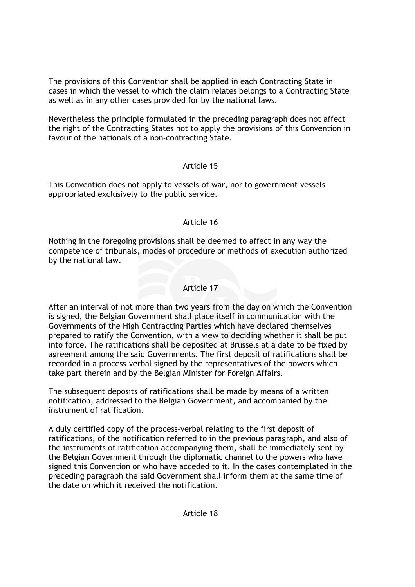The provisions of this Convention shall be applied in each Contracting State in cases in which the vessel to which the claim relates belongs to a Contracting State as well as in any other cases provided for by the national laws.

Nevertheless the principle formulated in the preceding paragraph does not affect the right of the Contracting States not to apply the provisions of this Convention in favour of the nationals of a non-contracting State.

# Article 15

This Convention does not apply to vessels of war, nor to government vessels appropriated exclusively to the public service.

# Article 16

Nothing in the foregoing provisions shall be deemed to affect in any way the competence of tribunals, modes of procedure or methods of execution authorized by the national law.

# Article 17

After an interval of not more than two years from the day on which the Convention is signed, the Belgian Government shall place itself in communication with the Governments of the High Contracting Parties which have declared themselves prepared to ratify the Convention, with a view to deciding whether it shall be put into force. The ratifications shall be deposited at Brussels at a date to be fixed by agreement among the said Governments. The first deposit of ratifications shall be recorded in a process-verbal signed by the representatives of the powers which take part therein and by the Belgian Minister for Foreign Affairs.

The subsequent deposits of ratifications shall be made by means of a written notification, addressed to the Belgian Government, and accompanied by the instrument of ratification.

A duly certified copy of the process-verbal relating to the first deposit of ratifications, of the notification referred to in the previous paragraph, and also of the instruments of ratification accompanying them, shall be immediately sent by the Belgian Government through the diplomatic channel to the powers who have signed this Convention or who have acceded to it. In the cases contemplated in the preceding paragraph the said Government shall inform them at the same time of the date on which it received the notification.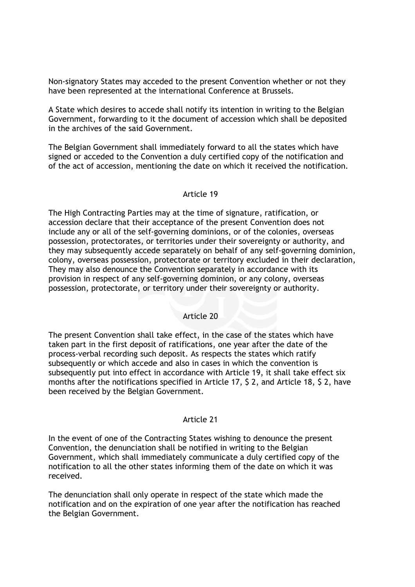Non-signatory States may acceded to the present Convention whether or not they have been represented at the international Conference at Brussels.

A State which desires to accede shall notify its intention in writing to the Belgian Government, forwarding to it the document of accession which shall be deposited in the archives of the said Government.

The Belgian Government shall immediately forward to all the states which have signed or acceded to the Convention a duly certified copy of the notification and of the act of accession, mentioning the date on which it received the notification.

#### Article 19

The High Contracting Parties may at the time of signature, ratification, or accession declare that their acceptance of the present Convention does not include any or all of the self-governing dominions, or of the colonies, overseas possession, protectorates, or territories under their sovereignty or authority, and they may subsequently accede separately on behalf of any self-governing dominion, colony, overseas possession, protectorate or territory excluded in their declaration, They may also denounce the Convention separately in accordance with its provision in respect of any self-governing dominion, or any colony, overseas possession, protectorate, or territory under their sovereignty or authority.

## Article 20

The present Convention shall take effect, in the case of the states which have taken part in the first deposit of ratifications, one year after the date of the process-verbal recording such deposit. As respects the states which ratify subsequently or which accede and also in cases in which the convention is subsequently put into effect in accordance with Article 19, it shall take effect six months after the notifications specified in Article 17, \$ 2, and Article 18, \$ 2, have been received by the Belgian Government.

### Article 21

In the event of one of the Contracting States wishing to denounce the present Convention, the denunciation shall be notified in writing to the Belgian Government, which shall immediately communicate a duly certified copy of the notification to all the other states informing them of the date on which it was received.

The denunciation shall only operate in respect of the state which made the notification and on the expiration of one year after the notification has reached the Belgian Government.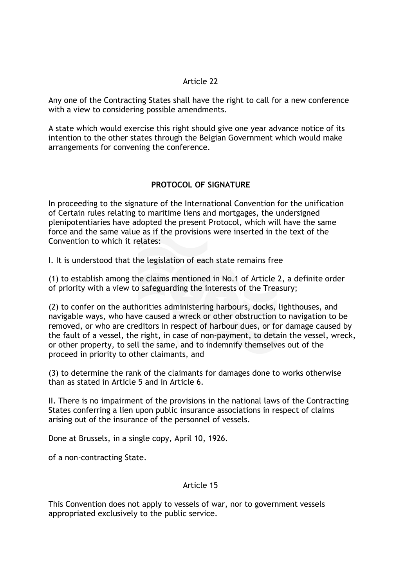## Article 22

Any one of the Contracting States shall have the right to call for a new conference with a view to considering possible amendments.

A state which would exercise this right should give one year advance notice of its intention to the other states through the Belgian Government which would make arrangements for convening the conference.

## **PROTOCOL OF SIGNATURE**

In proceeding to the signature of the International Convention for the unification of Certain rules relating to maritime liens and mortgages, the undersigned plenipotentiaries have adopted the present Protocol, which will have the same force and the same value as if the provisions were inserted in the text of the Convention to which it relates:

I. It is understood that the legislation of each state remains free

(1) to establish among the claims mentioned in No.1 of Article 2, a definite order of priority with a view to safeguarding the interests of the Treasury;

(2) to confer on the authorities administering harbours, docks, lighthouses, and navigable ways, who have caused a wreck or other obstruction to navigation to be removed, or who are creditors in respect of harbour dues, or for damage caused by the fault of a vessel, the right, in case of non-payment, to detain the vessel, wreck, or other property, to sell the same, and to indemnify themselves out of the proceed in priority to other claimants, and

(3) to determine the rank of the claimants for damages done to works otherwise than as stated in Article 5 and in Article 6.

II. There is no impairment of the provisions in the national laws of the Contracting States conferring a lien upon public insurance associations in respect of claims arising out of the insurance of the personnel of vessels.

Done at Brussels, in a single copy, April 10, 1926.

of a non-contracting State.

### Article 15

This Convention does not apply to vessels of war, nor to government vessels appropriated exclusively to the public service.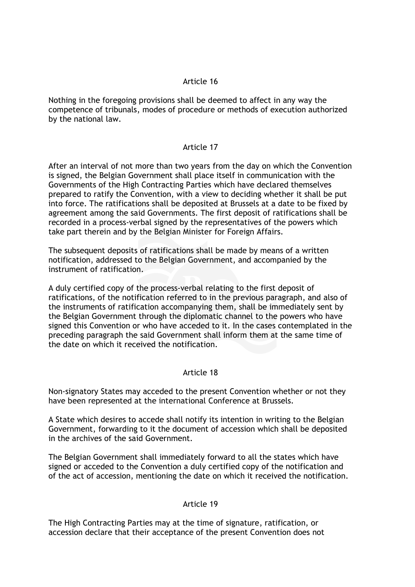## Article 16

Nothing in the foregoing provisions shall be deemed to affect in any way the competence of tribunals, modes of procedure or methods of execution authorized by the national law.

### Article 17

After an interval of not more than two years from the day on which the Convention is signed, the Belgian Government shall place itself in communication with the Governments of the High Contracting Parties which have declared themselves prepared to ratify the Convention, with a view to deciding whether it shall be put into force. The ratifications shall be deposited at Brussels at a date to be fixed by agreement among the said Governments. The first deposit of ratifications shall be recorded in a process-verbal signed by the representatives of the powers which take part therein and by the Belgian Minister for Foreign Affairs.

The subsequent deposits of ratifications shall be made by means of a written notification, addressed to the Belgian Government, and accompanied by the instrument of ratification.

A duly certified copy of the process-verbal relating to the first deposit of ratifications, of the notification referred to in the previous paragraph, and also of the instruments of ratification accompanying them, shall be immediately sent by the Belgian Government through the diplomatic channel to the powers who have signed this Convention or who have acceded to it. In the cases contemplated in the preceding paragraph the said Government shall inform them at the same time of the date on which it received the notification.

### Article 18

Non-signatory States may acceded to the present Convention whether or not they have been represented at the international Conference at Brussels.

A State which desires to accede shall notify its intention in writing to the Belgian Government, forwarding to it the document of accession which shall be deposited in the archives of the said Government.

The Belgian Government shall immediately forward to all the states which have signed or acceded to the Convention a duly certified copy of the notification and of the act of accession, mentioning the date on which it received the notification.

### Article 19

The High Contracting Parties may at the time of signature, ratification, or accession declare that their acceptance of the present Convention does not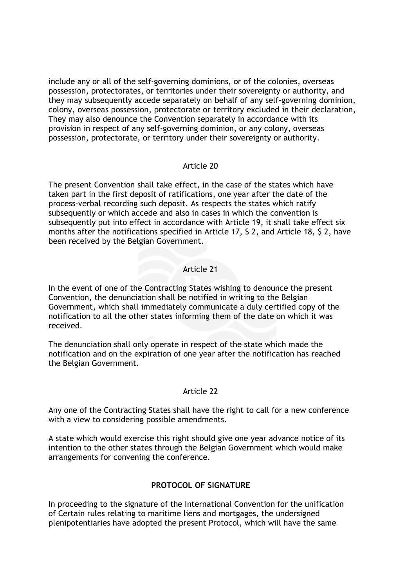include any or all of the self-governing dominions, or of the colonies, overseas possession, protectorates, or territories under their sovereignty or authority, and they may subsequently accede separately on behalf of any self-governing dominion, colony, overseas possession, protectorate or territory excluded in their declaration, They may also denounce the Convention separately in accordance with its provision in respect of any self-governing dominion, or any colony, overseas possession, protectorate, or territory under their sovereignty or authority.

## Article 20

The present Convention shall take effect, in the case of the states which have taken part in the first deposit of ratifications, one year after the date of the process-verbal recording such deposit. As respects the states which ratify subsequently or which accede and also in cases in which the convention is subsequently put into effect in accordance with Article 19, it shall take effect six months after the notifications specified in Article 17, \$ 2, and Article 18, \$ 2, have been received by the Belgian Government.

### Article 21

In the event of one of the Contracting States wishing to denounce the present Convention, the denunciation shall be notified in writing to the Belgian Government, which shall immediately communicate a duly certified copy of the notification to all the other states informing them of the date on which it was received.

The denunciation shall only operate in respect of the state which made the notification and on the expiration of one year after the notification has reached the Belgian Government.

### Article 22

Any one of the Contracting States shall have the right to call for a new conference with a view to considering possible amendments.

A state which would exercise this right should give one year advance notice of its intention to the other states through the Belgian Government which would make arrangements for convening the conference.

## **PROTOCOL OF SIGNATURE**

In proceeding to the signature of the International Convention for the unification of Certain rules relating to maritime liens and mortgages, the undersigned plenipotentiaries have adopted the present Protocol, which will have the same